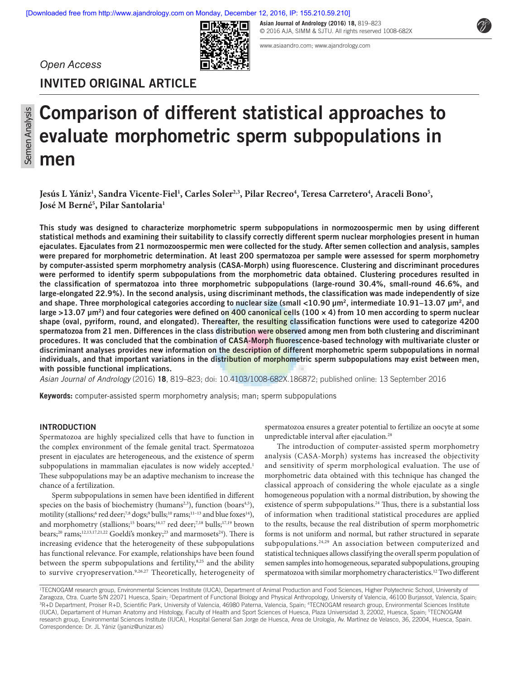**Asian Journal of Andrology (2016) 18,** 819–823 © 2016 AJA, SIMM & SJTU. All rights reserved 1008-682X

www.asiaandro.com; www.ajandrology.com

*Open Access*

# **Comparison of different statistical approaches to evaluate morphometric sperm subpopulations in men**

Jesús L Yániz<sup>ı</sup>, Sandra Vicente-Fiel<sup>ı</sup>, Carles Soler<sup>2,3</sup>, Pilar Recreo<sup>4</sup>, Teresa Carretero<sup>4</sup>, Araceli Bono<sup>5</sup>, **José M Berné5 , Pilar Santolaria1**

**This study was designed to characterize morphometric sperm subpopulations in normozoospermic men by using different statistical methods and examining their suitability to classify correctly different sperm nuclear morphologies present in human ejaculates. Ejaculates from 21 normozoospermic men were collected for the study. After semen collection and analysis, samples were prepared for morphometric determination. At least 200 spermatozoa per sample were assessed for sperm morphometry by computer-assisted sperm morphometry analysis (CASA-Morph) using fluorescence. Clustering and discriminant procedures were performed to identify sperm subpopulations from the morphometric data obtained. Clustering procedures resulted in the classification of spermatozoa into three morphometric subpopulations (large-round 30.4%, small-round 46.6%, and large-elongated 22.9%). In the second analysis, using discriminant methods, the classification was made independently of size and shape. Three morphological categories according to nuclear size (small <10.90 μm2, intermediate 10.91–13.07 μm2, and large >13.07 μm2) and four categories were defined on 400 canonical cells (100 × 4) from 10 men according to sperm nuclear shape (oval, pyriform, round, and elongated). Thereafter, the resulting classification functions were used to categorize 4200 spermatozoa from 21 men. Differences in the class distribution were observed among men from both clustering and discriminant procedures. It was concluded that the combination of CASA-Morph fluorescence-based technology with multivariate cluster or discriminant analyses provides new information on the description of different morphometric sperm subpopulations in normal individuals, and that important variations in the distribution of morphometric sperm subpopulations may exist between men, with possible functional implications.**

*Asian Journal of Andrology* (2016) **18**, 819–823; doi: 10.4103/1008-682X.186872; published online: 13 September 2016

**Keywords:** computer‑assisted sperm morphometry analysis; man; sperm subpopulations

# **INTRODUCTION**

Spermatozoa are highly specialized cells that have to function in the complex environment of the female genital tract. Spermatozoa present in ejaculates are heterogeneous, and the existence of sperm subpopulations in mammalian ejaculates is now widely accepted.<sup>1</sup> These subpopulations may be an adaptive mechanism to increase the chance of a fertilization.

Sperm subpopulations in semen have been identified in different species on the basis of biochemistry (humans<sup>2,3</sup>), function (boars<sup>4,5</sup>), motility (stallions;<sup>6</sup> red deer;<sup>7,8</sup> dogs;<sup>9</sup> bulls;<sup>10</sup> rams;<sup>11–13</sup> and blue foxes<sup>14</sup>), and morphometry (stallions;<sup>15</sup> boars;<sup>16,17</sup> red deer;<sup>7,18</sup> bulls;<sup>17,19</sup> brown bears;<sup>20</sup> rams;<sup>12,13,17,21,22</sup> Goeldi's monkey;<sup>23</sup> and marmosets<sup>24</sup>). There is increasing evidence that the heterogeneity of these subpopulations has functional relevance. For example, relationships have been found between the sperm subpopulations and fertility,<sup>8,25</sup> and the ability to survive cryopreservation.<sup>9,26,27</sup> Theoretically, heterogeneity of spermatozoa ensures a greater potential to fertilize an oocyte at some unpredictable interval after ejaculation.<sup>28</sup>

The introduction of computer-assisted sperm morphometry analysis (CASA-Morph) systems has increased the objectivity and sensitivity of sperm morphological evaluation. The use of morphometric data obtained with this technique has changed the classical approach of considering the whole ejaculate as a single homogeneous population with a normal distribution, by showing the existence of sperm subpopulations.<sup>24</sup> Thus, there is a substantial loss of information when traditional statistical procedures are applied to the results, because the real distribution of sperm morphometric forms is not uniform and normal, but rather structured in separate subpopulations.<sup>24,29</sup> An association between computerized and statistical techniques allows classifying the overall sperm population of semen samples into homogeneous, separated subpopulations, grouping spermatozoa with similar morphometry characteristics.<sup>12</sup> Two different

<sup>1</sup> TECNOGAM research group, Environmental Sciences Institute (IUCA), Department of Animal Production and Food Sciences, Higher Polytechnic School, University of Zaragoza, Ctra. Cuarte S/N 22071 Huesca, Spain; <sup>2</sup>Department of Functional Biology and Physical Anthropology, University of Valencia, 46100 Burjassot, Valencia, Spain;<br>3P+D Department, Projser R+D, Scientific Park, Univer R+D Department, Proiser R+D, Scientific Park, University of Valencia, 46980 Paterna, Valencia, Spain; 4 TECNOGAM research group, Environmental Sciences Institute (IUCA), Departament of Human Anatomy and Histology, Faculty of Health and Sport Sciences of Huesca, Plaza Universidad 3, 22002, Huesca, Spain; 5 TECNOGAM research group, Environmental Sciences Institute (IUCA), Hospital General San Jorge de Huesca, Area de Urología, Av. Martínez de Velasco, 36, 22004, Huesca, Spain. Correspondence: Dr. JL Yániz (jyaniz@unizar.es)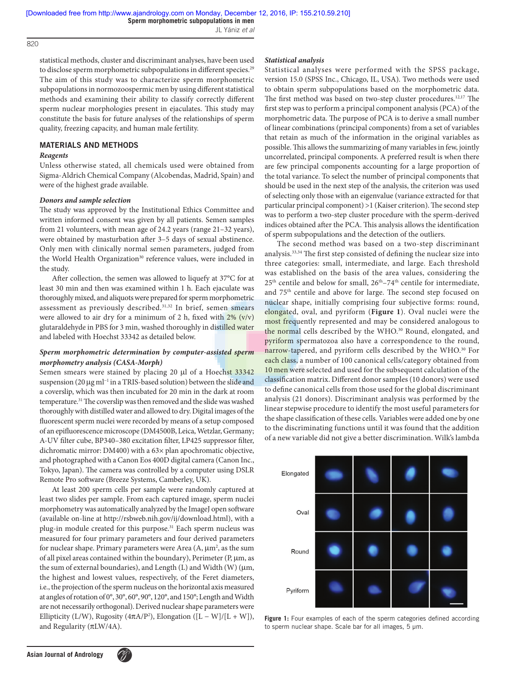**Sperm morphometric subpopulations in men**

JL Yániz *et al*

820

statistical methods, cluster and discriminant analyses, have been used to disclose sperm morphometric subpopulations in different species.<sup>29</sup> The aim of this study was to characterize sperm morphometric subpopulations in normozoospermic men by using different statistical methods and examining their ability to classify correctly different sperm nuclear morphologies present in ejaculates. This study may constitute the basis for future analyses of the relationships of sperm quality, freezing capacity, and human male fertility.

# **MATERIALS AND METHODS**

#### *Reagents*

Unless otherwise stated, all chemicals used were obtained from Sigma-Aldrich Chemical Company (Alcobendas, Madrid, Spain) and were of the highest grade available.

#### *Donors and sample selection*

The study was approved by the Institutional Ethics Committee and written informed consent was given by all patients. Semen samples from 21 volunteers, with mean age of 24.2 years (range 21–32 years), were obtained by masturbation after 3–5 days of sexual abstinence. Only men with clinically normal semen parameters, judged from the World Health Organization<sup>30</sup> reference values, were included in the study.

After collection, the semen was allowed to liquefy at 37°C for at least 30 min and then was examined within 1 h. Each ejaculate was thoroughly mixed, and aliquots were prepared for sperm morphometric assessment as previously described.31,32 In brief, semen smears were allowed to air dry for a minimum of 2 h, fixed with  $2\%$  (v/v) glutaraldehyde in PBS for 3 min, washed thoroughly in distilled water and labeled with Hoechst 33342 as detailed below.

# *Sperm morphometric determination by computer‑assisted sperm morphometry analysis (CASA‑Morph)*

Semen smears were stained by placing 20 µl of a Hoechst 33342 suspension (20 μg ml<sup>-1</sup> in a TRIS-based solution) between the slide and a coverslip, which was then incubated for 20 min in the dark at room temperature.31 The coverslip was then removed and the slide was washed thoroughly with distilled water and allowed to dry. Digital images of the fluorescent sperm nuclei were recorded by means of a setup composed of an epifluorescence microscope (DM4500B, Leica, Wetzlar, Germany; A-UV filter cube, BP340–380 excitation filter, LP425 suppressor filter, dichromatic mirror: DM400) with a 63× plan apochromatic objective, and photographed with a Canon Eos 400D digital camera (Canon Inc., Tokyo, Japan). The camera was controlled by a computer using DSLR Remote Pro software (Breeze Systems, Camberley, UK).

At least 200 sperm cells per sample were randomly captured at least two slides per sample. From each captured image, sperm nuclei morphometry was automatically analyzed by the ImageJ open software (available on-line at http://rsbweb.nih.gov/ij/download.html), with a plug-in module created for this purpose.<sup>31</sup> Each sperm nucleus was measured for four primary parameters and four derived parameters for nuclear shape. Primary parameters were Area  $(A, \mu m^2)$ , as the sum of all pixel areas contained within the boundary), Perimeter  $(P, \mu m, as)$ the sum of external boundaries), and Length  $(L)$  and Width  $(W)$  ( $\mu$ m, the highest and lowest values, respectively, of the Feret diameters, i.e., the projection of the sperm nucleus on the horizontal axis measured at angles of rotation of 0°, 30°, 60°, 90°, 120°, and 150°; Length and Width are not necessarily orthogonal). Derived nuclear shape parameters were Ellipticity (L/W), Rugosity (4 $\pi A/P^2$ ), Elongation ([L – W]/[L + W]), and Regularity (πLW/4A).

#### *Statistical analysis*

Statistical analyses were performed with the SPSS package, version 15.0 (SPSS Inc., Chicago, IL, USA). Two methods were used to obtain sperm subpopulations based on the morphometric data. The first method was based on two-step cluster procedures.12,17 The first step was to perform a principal component analysis (PCA) of the morphometric data. The purpose of PCA is to derive a small number of linear combinations (principal components) from a set of variables that retain as much of the information in the original variables as possible. This allows the summarizing of many variables in few, jointly uncorrelated, principal components. A preferred result is when there are few principal components accounting for a large proportion of the total variance. To select the number of principal components that should be used in the next step of the analysis, the criterion was used of selecting only those with an eigenvalue (variance extracted for that particular principal component) >1 (Kaiser criterion). The second step was to perform a two-step cluster procedure with the sperm-derived indices obtained after the PCA. This analysis allows the identification of sperm subpopulations and the detection of the outliers.

The second method was based on a two-step discriminant analysis.33,34 The first step consisted of defining the nuclear size into three categories: small, intermediate, and large. Each threshold was established on the basis of the area values, considering the  $25<sup>th</sup>$  centile and below for small,  $26<sup>th</sup>-74<sup>th</sup>$  centile for intermediate, and 75th centile and above for large. The second step focused on nuclear shape, initially comprising four subjective forms: round, elongated, oval, and pyriform (**Figure 1**). Oval nuclei were the most frequently represented and may be considered analogous to the normal cells described by the WHO.<sup>30</sup> Round, elongated, and pyriform spermatozoa also have a correspondence to the round, narrow-tapered, and pyriform cells described by the WHO.<sup>30</sup> For each class, a number of 100 canonical cells/category obtained from 10 men were selected and used for the subsequent calculation of the classification matrix. Different donor samples (10 donors) were used to define canonical cells from those used for the global discriminant analysis (21 donors). Discriminant analysis was performed by the linear stepwise procedure to identify the most useful parameters for the shape classification of these cells. Variables were added one by one to the discriminating functions until it was found that the addition of a new variable did not give a better discrimination. Wilk's lambda



**Figure 1:** Four examples of each of the sperm categories defined according to sperm nuclear shape. Scale bar for all images, 5 µm.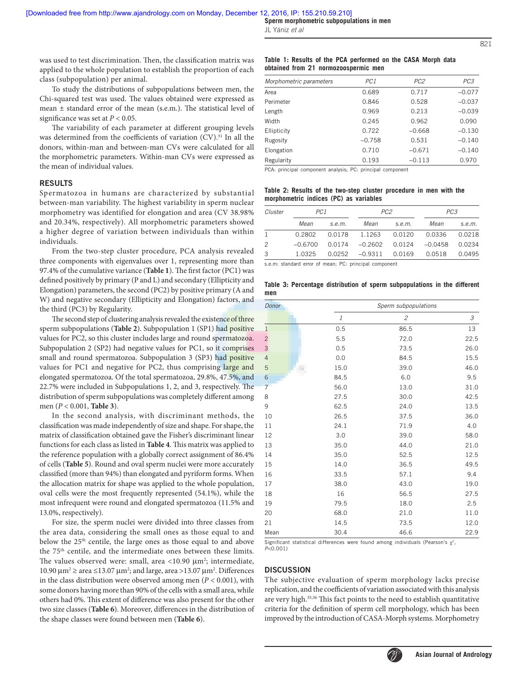JL Yániz *et al*

was used to test discrimination. Then, the classification matrix was applied to the whole population to establish the proportion of each class (subpopulation) per animal.

To study the distributions of subpopulations between men, the Chi-squared test was used. The values obtained were expressed as mean ± standard error of the mean (s.e.m.). The statistical level of significance was set at *P* < 0.05.

The variability of each parameter at different grouping levels was determined from the coefficients of variation (CV).<sup>31</sup> In all the donors, within-man and between-man CVs were calculated for all the morphometric parameters. Within-man CVs were expressed as the mean of individual values.

#### **RESULTS**

Spermatozoa in humans are characterized by substantial between-man variability. The highest variability in sperm nuclear morphometry was identified for elongation and area (CV 38.98% and 20.34%, respectively). All morphometric parameters showed a higher degree of variation between individuals than within individuals.

From the two-step cluster procedure, PCA analysis revealed three components with eigenvalues over 1, representing more than 97.4% of the cumulative variance (**Table 1**). The first factor (PC1) was defined positively by primary (P and L) and secondary (Ellipticity and Elongation) parameters, the second (PC2) by positive primary (A and W) and negative secondary (Ellipticity and Elongation) factors, and the third (PC3) by Regularity.

The second step of clustering analysis revealed the existence of three sperm subpopulations (**Table 2**). Subpopulation 1 (SP1) had positive values for PC2, so this cluster includes large and round spermatozoa. Subpopulation 2 (SP2) had negative values for PC1, so it comprises small and round spermatozoa. Subpopulation 3 (SP3) had positive values for PC1 and negative for PC2, thus comprising large and elongated spermatozoa. Of the total spermatozoa, 29.8%, 47.5%, and 22.7% were included in Subpopulations 1, 2, and 3, respectively. The distribution of sperm subpopulations was completely different among men (*P* < 0.001, **Table 3**).

In the second analysis, with discriminant methods, the classification was made independently of size and shape. For shape, the matrix of classification obtained gave the Fisher's discriminant linear functions for each class as listed in **Table 4**. This matrix was applied to the reference population with a globally correct assignment of 86.4% of cells (**Table 5**). Round and oval sperm nuclei were more accurately classified (more than 94%) than elongated and pyriform forms. When the allocation matrix for shape was applied to the whole population, oval cells were the most frequently represented (54.1%), while the most infrequent were round and elongated spermatozoa (11.5% and 13.0%, respectively).

For size, the sperm nuclei were divided into three classes from the area data, considering the small ones as those equal to and below the 25<sup>th</sup> centile, the large ones as those equal to and above the 75th centile, and the intermediate ones between these limits. The values observed were: small, area <10.90  $\mu$ m<sup>2</sup>; intermediate, 10.90 μm<sup>2</sup> ≥ area ≤13.07 μm<sup>2</sup>; and large, area >13.07 μm<sup>2</sup>. Differences in the class distribution were observed among men (*P* < 0.001), with some donors having more than 90% of the cells with a small area, while others had 0%. This extent of difference was also present for the other two size classes (**Table 6**). Moreover, differences in the distribution of the shape classes were found between men (**Table 6**).

#### **Table 1: Results of the PCA performed on the CASA Morph data obtained from 21 normozoospermic men**

| Morphometric parameters | PC 1     | PC <sub>2</sub> | PC3      |
|-------------------------|----------|-----------------|----------|
| Area                    | 0.689    | 0.717           | $-0.077$ |
| Perimeter               | 0.846    | 0.528           | $-0.037$ |
| Length                  | 0.969    | 0.213           | $-0.039$ |
| Width                   | 0.245    | 0.962           | 0.090    |
| Ellipticity             | 0.722    | $-0.668$        | $-0.130$ |
| Rugosity                | $-0.758$ | 0.531           | $-0.140$ |
| Elongation              | 0.710    | $-0.671$        | $-0.140$ |
| Regularity              | 0.193    | $-0.113$        | 0.970    |
|                         |          |                 |          |

PCA: principal component analysis; PC: principal component

#### **Table 2: Results of the two‑step cluster procedure in men with the morphometric indices (PC) as variables**

| Cluster      | PC <sub>1</sub> |        | PC <sub>2</sub>                                 |        | PC <sub>3</sub> |        |
|--------------|-----------------|--------|-------------------------------------------------|--------|-----------------|--------|
|              | Mean            | s.e.m. | Mean                                            | s.e.m. | Mean            | s.e.m. |
| $\mathbf{1}$ | 0.2802          |        | 0.0178  1.1263  0.0120  0.0336                  |        |                 | 0.0218 |
| 2            |                 |        | $-0.6700$ $0.0174$ $-0.2602$ $0.0124$ $-0.0458$ |        |                 | 0.0234 |
| 3            | 1.0325          |        | $0.0252 -0.9311 0.0169 0.0518$                  |        |                 | 0.0495 |

s.e.m: standard error of mean; PC: principal component

**Table 3: Percentage distribution of sperm subpopulations in the different men**

| Donor          |         | Sperm subpopulations        |                            |  |  |
|----------------|---------|-----------------------------|----------------------------|--|--|
|                | $\it 1$ | $\mathcal{L}_{\mathcal{L}}$ | $\ensuremath{\mathcal{S}}$ |  |  |
| $\mathbf{1}$   | 0.5     | 86.5                        | 13                         |  |  |
| $\overline{c}$ | 5.5     | 72.0                        | 22.5                       |  |  |
| 3              | 0.5     | 73.5                        | 26.0                       |  |  |
| $\overline{4}$ | 0.0     | 84.5                        | 15.5                       |  |  |
| 5              | 15.0    | 39.0                        | 46.0                       |  |  |
| 6              | 84.5    | 6.0                         | 9.5                        |  |  |
| $\overline{7}$ | 56.0    | 13.0                        | 31.0                       |  |  |
| 8              | 27.5    | 30.0                        | 42.5                       |  |  |
| 9              | 62.5    | 24.0                        | 13.5                       |  |  |
| 10             | 26.5    | 37.5                        | 36.0                       |  |  |
| 11             | 24.1    | 71.9                        | 4.0                        |  |  |
| 12             | 3.0     | 39.0                        | 58.0                       |  |  |
| 13             | 35.0    | 44.0                        | 21.0                       |  |  |
| 14             | 35.0    | 52.5                        | 12.5                       |  |  |
| 15             | 14.0    | 36.5                        | 49.5                       |  |  |
| 16             | 33.5    | 57.1                        | 9.4                        |  |  |
| 17             | 38.0    | 43.0                        | 19.0                       |  |  |
| 18             | 16      | 56.5                        | 27.5                       |  |  |
| 19             | 79.5    | 18.0                        | 2.5                        |  |  |
| 20             | 68.0    | 21.0                        | 11.0                       |  |  |
| 21             | 14.5    | 73.5                        | 12.0                       |  |  |
| Mean           | 30.4    | 46.6                        | 22.9                       |  |  |

Significant statistical differences were found among individuals (Pearson's  $\gamma^2$ , *P*<0.001)

# **DISCUSSION**

The subjective evaluation of sperm morphology lacks precise replication, and the coefficients of variation associated with this analysis are very high.<sup>35,36</sup> This fact points to the need to establish quantitative criteria for the definition of sperm cell morphology, which has been improved by the introduction of CASA-Morph systems. Morphometry



821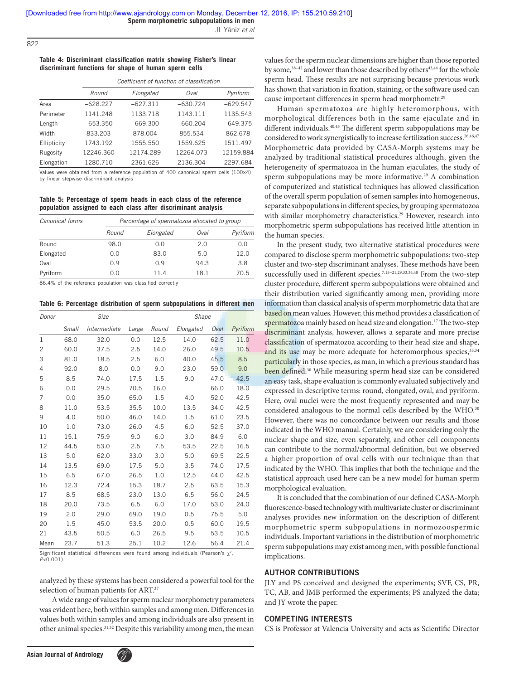JL Yániz *et al*

822

# **Table 4: Discriminant classification matrix showing Fisher's linear discriminant functions for shape of human sperm cells**

|             |            | Coefficient of function of classification |            |            |  |
|-------------|------------|-------------------------------------------|------------|------------|--|
|             | Round      | Elongated                                 | Oval       | Pyriform   |  |
| Area        | $-628.227$ | $-627.311$                                | $-630.724$ | $-629.547$ |  |
| Perimeter   | 1141.248   | 1133.718                                  | 1143.111   | 1135.543   |  |
| Length      | $-653.350$ | $-669.300$                                | $-660.204$ | $-649.375$ |  |
| Width       | 833.203    | 878.004                                   | 855.534    | 862.678    |  |
| Ellipticity | 1743.192   | 1555.550                                  | 1559.625   | 1511.497   |  |
| Rugosity    | 12246.360  | 12174.289                                 | 12264.073  | 12159.884  |  |
| Elongation  | 1280.710   | 2361.626                                  | 2136.304   | 2297.684   |  |

Values were obtained from a reference population of 400 canonical sperm cells (100×4) by linear stepwise discriminant analysis

**Table 5: Percentage of sperm heads in each class of the reference population assigned to each class after discriminant analysis**

| Canonical forms | Percentage of spermatozoa allocated to group |           |      |          |  |
|-----------------|----------------------------------------------|-----------|------|----------|--|
|                 | Round                                        | Elongated | Oval | Pyriform |  |
| Round           | 98.0                                         | 0.0       | 2.0  | 0.0      |  |
| Elongated       | 0.0                                          | 83.0      | 5.0  | 12.0     |  |
| Oval            | 0.9                                          | 0.9       | 94.3 | 3.8      |  |
| Pvriform        | 0.0                                          | 11.4      | 18.1 | 70.5     |  |

86.4% of the reference population was classified correctly

**Table 6: Percentage distribution of sperm subpopulations in different men**

| Donor          | Size  |              |       | Shape |           |      |          |
|----------------|-------|--------------|-------|-------|-----------|------|----------|
|                | Small | Intermediate | Large | Round | Elongated | Oval | Pyriform |
| $\mathbf{1}$   | 68.0  | 32.0         | 0.0   | 12.5  | 14.0      | 62.5 | 11.0     |
| $\overline{c}$ | 60.0  | 37.5         | 2.5   | 14.0  | 26.0      | 49.5 | 10.5     |
| 3              | 81.0  | 18.5         | 2.5   | 6.0   | 40.0      | 45.5 | 8.5      |
| 4              | 92.0  | 8.0          | 0.0   | 9.0   | 23.0      | 59.0 | 9.0      |
| 5              | 8.5   | 74.0         | 17.5  | 1.5   | 9.0       | 47.0 | 42.5     |
| 6              | 0.0   | 29.5         | 70.5  | 16.0  |           | 66.0 | 18.0     |
| 7              | 0.0   | 35.0         | 65.0  | 1.5   | 4.0       | 52.0 | 42.5     |
| 8              | 11.0  | 53.5         | 35.5  | 10.0  | 13.5      | 34.0 | 42.5     |
| 9              | 4.0   | 50.0         | 46.0  | 14.0  | 1.5       | 61.0 | 23.5     |
| 10             | 1.0   | 73.0         | 26.0  | 4.5   | 6.0       | 52.5 | 37.0     |
| 11             | 15.1  | 75.9         | 9.0   | 6.0   | 3.0       | 84.9 | 6.0      |
| 12             | 44.5  | 53.0         | 2.5   | 7.5   | 53.5      | 22.5 | 16.5     |
| 13             | 5.0   | 62.0         | 33.0  | 3.0   | 5.0       | 69.5 | 22.5     |
| 14             | 13.5  | 69.0         | 17.5  | 5.0   | 3.5       | 74.0 | 17.5     |
| 15             | 6.5   | 67.0         | 26.5  | 1.0   | 12.5      | 44.0 | 42.5     |
| 16             | 12.3  | 72.4         | 15.3  | 18.7  | 2.5       | 63.5 | 15.3     |
| 17             | 8.5   | 68.5         | 23.0  | 13.0  | 6.5       | 56.0 | 24.5     |
| 18             | 20.0  | 73.5         | 6.5   | 6.0   | 17.0      | 53.0 | 24.0     |
| 19             | 2.0   | 29.0         | 69.0  | 19.0  | 0.5       | 75.5 | 5.0      |
| 20             | 1.5   | 45.0         | 53.5  | 20.0  | 0.5       | 60.0 | 19.5     |
| 21             | 43.5  | 50.5         | 6.0   | 26.5  | 9.5       | 53.5 | 10.5     |
| Mean           | 23.7  | 51.3         | 25.1  | 10.2  | 12.6      | 56.4 | 21.4     |

Significant statistical differences were found among individuals (Pearson's  $\chi^2$ , *P<*0.001)

analyzed by these systems has been considered a powerful tool for the selection of human patients for ART.37

A wide range of values for sperm nuclear morphometry parameters was evident here, both within samples and among men. Differences in values both within samples and among individuals are also present in other animal species.<sup>31,32</sup> Despite this variability among men, the mean values for the sperm nuclear dimensions are higher than those reported by some,<sup>38-42</sup> and lower than those described by others<sup>43,44</sup> for the whole sperm head. These results are not surprising because previous work has shown that variation in fixation, staining, or the software used can cause important differences in sperm head morphometr.<sup>29</sup>

Human spermatozoa are highly heteromorphous, with morphological differences both in the same ejaculate and in different individuals.40,45 The different sperm subpopulations may be considered to work synergistically to increase fertilization success.26,46,47 Morphometric data provided by CASA-Morph systems may be analyzed by traditional statistical procedures although, given the heterogeneity of spermatozoa in the human ejaculates, the study of sperm subpopulations may be more informative.<sup>29</sup> A combination of computerized and statistical techniques has allowed classification of the overall sperm population of semen samples into homogeneous, separate subpopulations in different species, by grouping spermatozoa with similar morphometry characteristics.<sup>29</sup> However, research into morphometric sperm subpopulations has received little attention in the human species.

In the present study, two alternative statistical procedures were compared to disclose sperm morphometric subpopulations: two-step cluster and two-step discriminant analyses. These methods have been successfully used in different species.<sup>7,15-21,29,33,34,48</sup> From the two-step cluster procedure, different sperm subpopulations were obtained and their distribution varied significantly among men, providing more information than classical analysis of sperm morphometric data that are based on mean values. However, this method provides a classification of spermatozoa mainly based on head size and elongation.<sup>17</sup> The two-step discriminant analysis, however, allows a separate and more precise classification of spermatozoa according to their head size and shape, and its use may be more adequate for heteromorphous species, 33,34 particularly in those species, as man, in which a previous standard has been defined.<sup>30</sup> While measuring sperm head size can be considered an easy task, shape evaluation is commonly evaluated subjectively and expressed in descriptive terms: round, elongated, oval, and pyriform. Here, oval nuclei were the most frequently represented and may be considered analogous to the normal cells described by the WHO.30 However, there was no concordance between our results and those indicated in the WHO manual. Certainly, we are considering only the nuclear shape and size, even separately, and other cell components can contribute to the normal/abnormal definition, but we observed a higher proportion of oval cells with our technique than that indicated by the WHO. This implies that both the technique and the statistical approach used here can be a new model for human sperm morphological evaluation.

It is concluded that the combination of our defined CASA-Morph fluorescence-based technology with multivariate cluster or discriminant analyses provides new information on the description of different morphometric sperm subpopulations in normozoospermic individuals. Important variations in the distribution of morphometric sperm subpopulations may exist among men, with possible functional implications.

## **AUTHOR CONTRIBUTIONS**

JLY and PS conceived and designed the experiments; SVF, CS, PR, TC, AB, and JMB performed the experiments; PS analyzed the data; and JY wrote the paper.

# **COMPETING INTERESTS**

CS is Professor at Valencia University and acts as Scientific Director